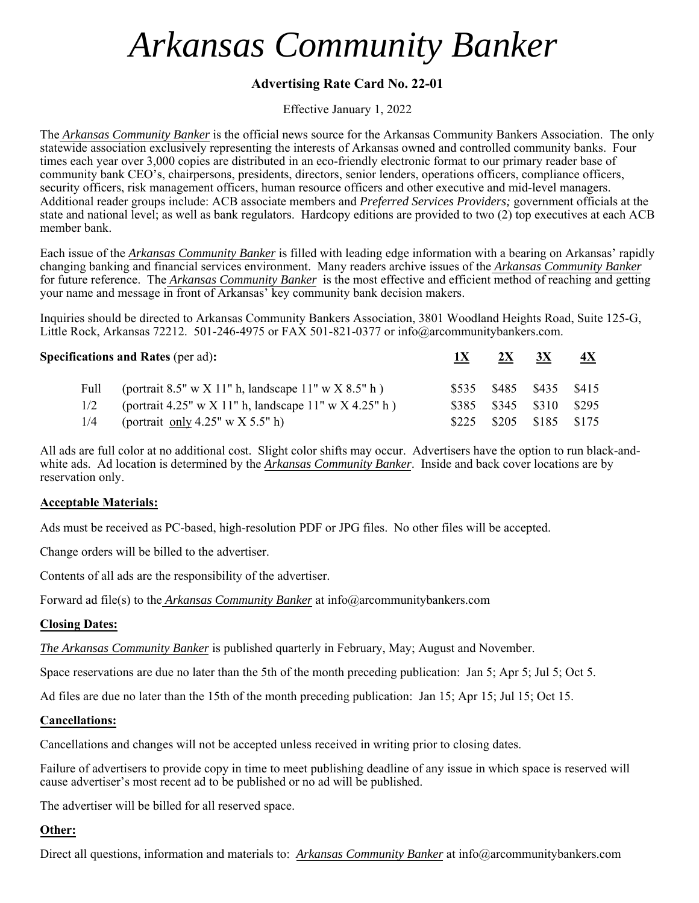## *Arkansas Community Banker*

## **Advertising Rate Card No. 22-01**

Effective January 1, 2022

The *Arkansas Community Banker* is the official news source for the Arkansas Community Bankers Association. The only statewide association exclusively representing the interests of Arkansas owned and controlled community banks. Four times each year over 3,000 copies are distributed in an eco-friendly electronic format to our primary reader base of community bank CEO's, chairpersons, presidents, directors, senior lenders, operations officers, compliance officers, security officers, risk management officers, human resource officers and other executive and mid-level managers. Additional reader groups include: ACB associate members and *Preferred Services Providers;* government officials at the state and national level; as well as bank regulators. Hardcopy editions are provided to two (2) top executives at each ACB member bank.

Each issue of the *Arkansas Community Banker* is filled with leading edge information with a bearing on Arkansas' rapidly changing banking and financial services environment. Many readers archive issues of the *Arkansas Community Banker* for future reference. The *Arkansas Community Banker* is the most effective and efficient method of reaching and getting your name and message in front of Arkansas' key community bank decision makers.

Inquiries should be directed to Arkansas Community Bankers Association, 3801 Woodland Heights Road, Suite 125-G, Little Rock, Arkansas 72212. 501-246-4975 or FAX 501-821-0377 or info@arcommunitybankers.com.

**Specifications and Rates (per ad):** 1X 2X 3X 4X Full (portrait 8.5" w X 11" h, landscape 11" w X 8.5" h ) \$535 \$485 \$485 \$435 \$415  $1/2$  (portrait 4.25" w X 11" h, landscape 11" w X 4.25" h ) \$385 \$345 \$310 \$295 1/4 (portrait only 4.25" w X 5.5" h) \$225 \$205 \$185 \$175

All ads are full color at no additional cost. Slight color shifts may occur. Advertisers have the option to run black-andwhite ads. Ad location is determined by the *Arkansas Community Banker*. Inside and back cover locations are by reservation only.

#### **Acceptable Materials:**

Ads must be received as PC-based, high-resolution PDF or JPG files. No other files will be accepted.

Change orders will be billed to the advertiser.

Contents of all ads are the responsibility of the advertiser.

Forward ad file(s) to the *Arkansas Community Banker* at info@arcommunitybankers.com

### **Closing Dates:**

*The Arkansas Community Banker* is published quarterly in February, May; August and November.

Space reservations are due no later than the 5th of the month preceding publication: Jan 5; Apr 5; Jul 5; Oct 5.

Ad files are due no later than the 15th of the month preceding publication: Jan 15; Apr 15; Jul 15; Oct 15.

#### **Cancellations:**

Cancellations and changes will not be accepted unless received in writing prior to closing dates.

Failure of advertisers to provide copy in time to meet publishing deadline of any issue in which space is reserved will cause advertiser's most recent ad to be published or no ad will be published.

The advertiser will be billed for all reserved space.

### **Other:**

Direct all questions, information and materials to: *Arkansas Community Banker* at info@arcommunitybankers.com